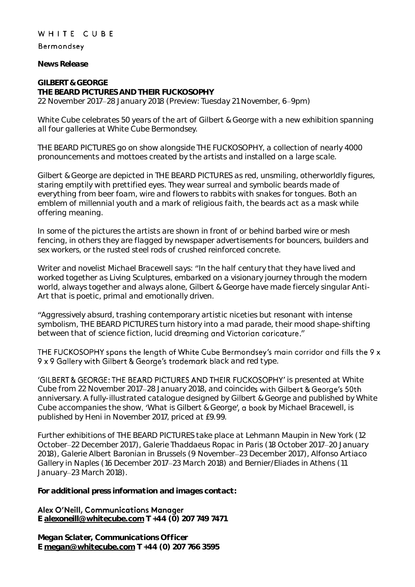## WHITE CUBE

## Bermondsey

**News Release**

**GILBERT & GEORGE THE BEARD PICTURES AND THEIR FUCKOSOPHY** 22 November 2017–28 January 2018 (Preview: Tuesday 21 November, 6–9pm)

White Cube celebrates 50 years of the art of Gilbert & George with a new exhibition spanning all four galleries at White Cube Bermondsey.

THE BEARD PICTURES go on show alongside THE FUCKOSOPHY, a collection of nearly 4000 pronouncements and mottoes created by the artists and installed on a large scale.

Gilbert & George are depicted in THE BEARD PICTURES as red, unsmiling, otherworldly figures, staring emptily with prettified eyes. They wear surreal and symbolic beards made of everything from beer foam, wire and flowers to rabbits with snakes for tongues. Both an emblem of millennial youth and a mark of religious faith, the beards act as a mask while offering meaning.

In some of the pictures the artists are shown in front of or behind barbed wire or mesh fencing, in others they are flagged by newspaper advertisements for bouncers, builders and sex workers, or the rusted steel rods of crushed reinforced concrete.

Writer and novelist Michael Bracewell says: "In the half century that they have lived and worked together as Living Sculptures, embarked on a visionary journey through the modern world, always together and always alone, Gilbert & George have made fiercely singular Anti-Art that is poetic, primal and emotionally driven.

Aggressively absurd, trashing contemporary artistic niceties but resonant with intense symbolism, THE BEARD PICTURES turn history into a mad parade, their mood shape-shifting between that of science fiction, lucid dreaming and Victorian caricature."

THE FUCKOSOPHY spans the length of White Cube Bermondsey's main corridor and fills the 9 x 9 x 9 Gallery with Gilbert & George's trademark black and red type.

'GILBERT & GEORGE: THE BEARD PICTURES AND THEIR FUCKOSOPHY' is presented at White Cube from 22 November 2017-28 January 2018, and coincides with Gilbert & George's 50th anniversary. A fully-illustrated catalogue designed by Gilbert & George and published by White Cube accompanies the show. 'What is Gilbert & George', a book by Michael Bracewell, is published by Heni in November 2017, priced at £9.99.

Further exhibitions of THE BEARD PICTURES take place at Lehmann Maupin in New York (12 October-22 December 2017), Galerie Thaddaeus Ropac in Paris (18 October 2017-20 January 2018), Galerie Albert Baronian in Brussels (9 November 23 December 2017), Alfonso Artiaco Gallery in Naples (16 December 2017 23 March 2018) and Bernier/Eliades in Athens (11 January-23 March 2018).

**For additional press information and images contact:** 

## Alex O'Neill, Communications Manager

**E [alexoneill@whitecube.com](mailto:alexoneill@whitecube.com) T +44 (0) 207 749 7471**

**Megan Sclater, Communications Officer E [megan@whitecube.com](mailto:megan@whitecube.com) T +44 (0) 207 766 3595**